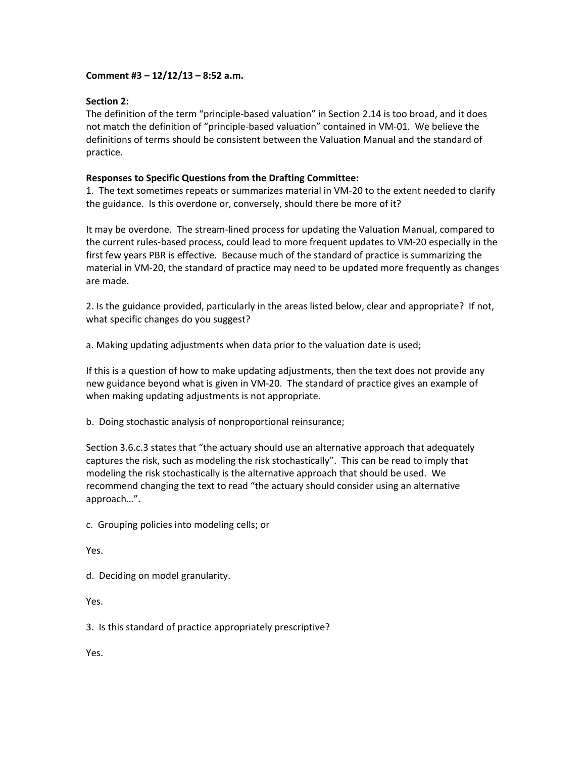## **Comment #3 – 12/12/13 – 8:52 a.m.**

## **Section 2:**

The definition of the term "principle‐based valuation" in Section 2.14 is too broad, and it does not match the definition of "principle‐based valuation" contained in VM‐01. We believe the definitions of terms should be consistent between the Valuation Manual and the standard of practice.

## **Responses to Specific Questions from the Drafting Committee:**

1. The text sometimes repeats or summarizes material in VM‐20 to the extent needed to clarify the guidance. Is this overdone or, conversely, should there be more of it?

It may be overdone. The stream‐lined process for updating the Valuation Manual, compared to the current rules‐based process, could lead to more frequent updates to VM‐20 especially in the first few years PBR is effective. Because much of the standard of practice is summarizing the material in VM‐20, the standard of practice may need to be updated more frequently as changes are made.

2. Is the guidance provided, particularly in the areas listed below, clear and appropriate? If not, what specific changes do you suggest?

a. Making updating adjustments when data prior to the valuation date is used;

If this is a question of how to make updating adjustments, then the text does not provide any new guidance beyond what is given in VM‐20. The standard of practice gives an example of when making updating adjustments is not appropriate.

b. Doing stochastic analysis of nonproportional reinsurance;

Section 3.6.c.3 states that "the actuary should use an alternative approach that adequately captures the risk, such as modeling the risk stochastically". This can be read to imply that modeling the risk stochastically is the alternative approach that should be used. We recommend changing the text to read "the actuary should consider using an alternative approach…".

c. Grouping policies into modeling cells; or

Yes.

d. Deciding on model granularity.

Yes.

3. Is this standard of practice appropriately prescriptive?

Yes.